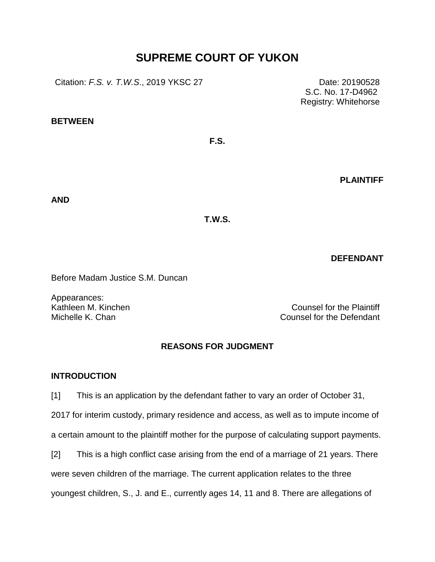# **SUPREME COURT OF YUKON**

Citation: *F.S. v. T.W.S.*, 2019 YKSC 27 Date: 20190528

**BETWEEN**

**PLAINTIFF**

**AND**

**T.W.S.**

**F.S.**

**DEFENDANT**

Before Madam Justice S.M. Duncan

Appearances:

Kathleen M. Kinchen Counsel for the Plaintiff Michelle K. Chan Counsel for the Defendant

# **REASONS FOR JUDGMENT**

# **INTRODUCTION**

[1] This is an application by the defendant father to vary an order of October 31, 2017 for interim custody, primary residence and access, as well as to impute income of a certain amount to the plaintiff mother for the purpose of calculating support payments.

[2] This is a high conflict case arising from the end of a marriage of 21 years. There were seven children of the marriage. The current application relates to the three youngest children, S., J. and E., currently ages 14, 11 and 8. There are allegations of

S.C. No. 17-D4962 Registry: Whitehorse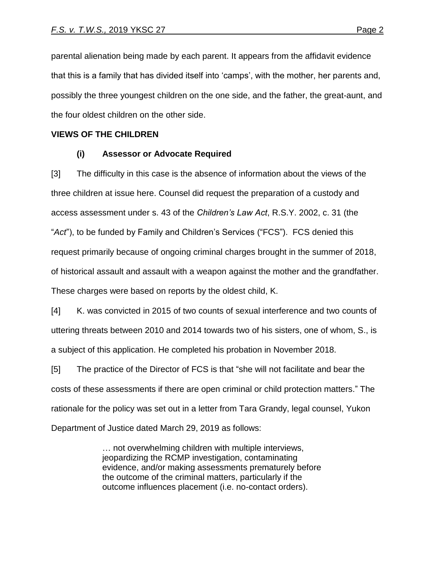parental alienation being made by each parent. It appears from the affidavit evidence that this is a family that has divided itself into 'camps', with the mother, her parents and, possibly the three youngest children on the one side, and the father, the great-aunt, and the four oldest children on the other side.

## **VIEWS OF THE CHILDREN**

# **(i) Assessor or Advocate Required**

[3] The difficulty in this case is the absence of information about the views of the three children at issue here. Counsel did request the preparation of a custody and access assessment under s. 43 of the *Children's Law Act*, R.S.Y. 2002, c. 31 (the "*Act*"), to be funded by Family and Children's Services ("FCS"). FCS denied this request primarily because of ongoing criminal charges brought in the summer of 2018, of historical assault and assault with a weapon against the mother and the grandfather. These charges were based on reports by the oldest child, K.

[4] K. was convicted in 2015 of two counts of sexual interference and two counts of uttering threats between 2010 and 2014 towards two of his sisters, one of whom, S., is a subject of this application. He completed his probation in November 2018.

[5] The practice of the Director of FCS is that "she will not facilitate and bear the costs of these assessments if there are open criminal or child protection matters." The rationale for the policy was set out in a letter from Tara Grandy, legal counsel, Yukon Department of Justice dated March 29, 2019 as follows:

> … not overwhelming children with multiple interviews, jeopardizing the RCMP investigation, contaminating evidence, and/or making assessments prematurely before the outcome of the criminal matters, particularly if the outcome influences placement (i.e. no-contact orders).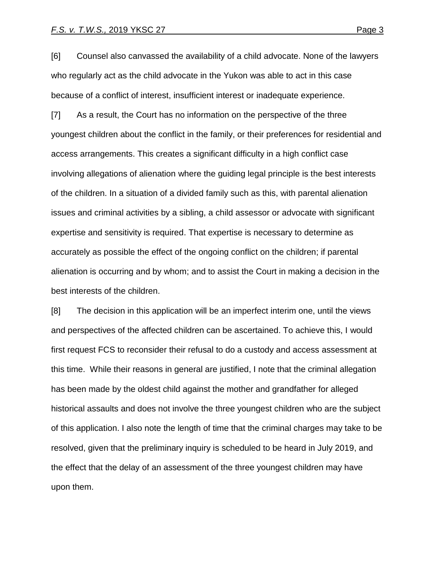[6] Counsel also canvassed the availability of a child advocate. None of the lawyers who regularly act as the child advocate in the Yukon was able to act in this case because of a conflict of interest, insufficient interest or inadequate experience.

[7] As a result, the Court has no information on the perspective of the three youngest children about the conflict in the family, or their preferences for residential and access arrangements. This creates a significant difficulty in a high conflict case involving allegations of alienation where the guiding legal principle is the best interests of the children. In a situation of a divided family such as this, with parental alienation issues and criminal activities by a sibling, a child assessor or advocate with significant expertise and sensitivity is required. That expertise is necessary to determine as accurately as possible the effect of the ongoing conflict on the children; if parental alienation is occurring and by whom; and to assist the Court in making a decision in the best interests of the children.

[8] The decision in this application will be an imperfect interim one, until the views and perspectives of the affected children can be ascertained. To achieve this, I would first request FCS to reconsider their refusal to do a custody and access assessment at this time. While their reasons in general are justified, I note that the criminal allegation has been made by the oldest child against the mother and grandfather for alleged historical assaults and does not involve the three youngest children who are the subject of this application. I also note the length of time that the criminal charges may take to be resolved, given that the preliminary inquiry is scheduled to be heard in July 2019, and the effect that the delay of an assessment of the three youngest children may have upon them.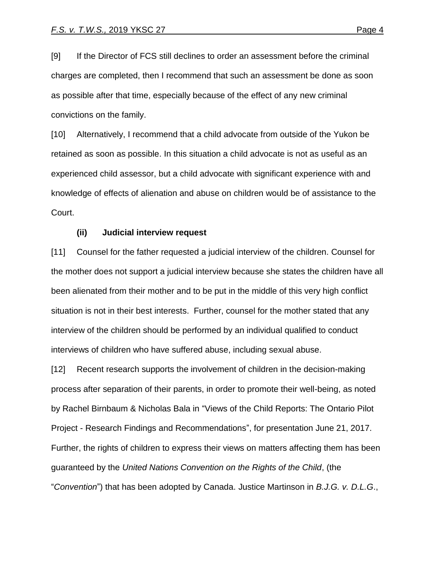[9] If the Director of FCS still declines to order an assessment before the criminal charges are completed, then I recommend that such an assessment be done as soon as possible after that time, especially because of the effect of any new criminal convictions on the family.

[10] Alternatively, I recommend that a child advocate from outside of the Yukon be retained as soon as possible. In this situation a child advocate is not as useful as an experienced child assessor, but a child advocate with significant experience with and knowledge of effects of alienation and abuse on children would be of assistance to the Court.

#### **(ii) Judicial interview request**

[11] Counsel for the father requested a judicial interview of the children. Counsel for the mother does not support a judicial interview because she states the children have all been alienated from their mother and to be put in the middle of this very high conflict situation is not in their best interests. Further, counsel for the mother stated that any interview of the children should be performed by an individual qualified to conduct interviews of children who have suffered abuse, including sexual abuse.

[12] Recent research supports the involvement of children in the decision-making process after separation of their parents, in order to promote their well-being, as noted by Rachel Birnbaum & Nicholas Bala in "Views of the Child Reports: The Ontario Pilot Project - Research Findings and Recommendations", for presentation June 21, 2017. Further, the rights of children to express their views on matters affecting them has been guaranteed by the *United Nations Convention on the Rights of the Child*, (the "*Convention*") that has been adopted by Canada. Justice Martinson in *B.J.G. v. D.L.G*.,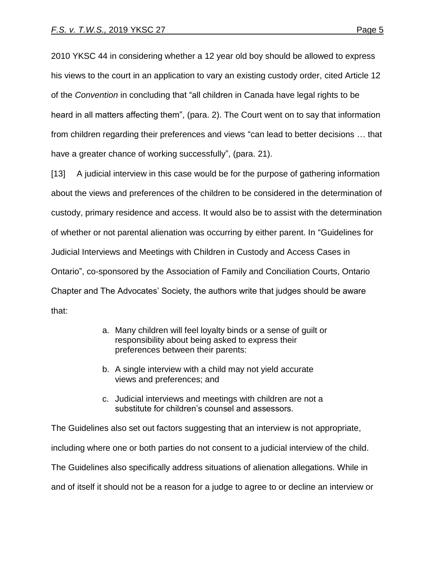2010 YKSC 44 in considering whether a 12 year old boy should be allowed to express his views to the court in an application to vary an existing custody order, cited Article 12 of the *Convention* in concluding that "all children in Canada have legal rights to be heard in all matters affecting them", (para. 2). The Court went on to say that information from children regarding their preferences and views "can lead to better decisions … that have a greater chance of working successfully", (para. 21).

[13] A judicial interview in this case would be for the purpose of gathering information about the views and preferences of the children to be considered in the determination of custody, primary residence and access. It would also be to assist with the determination of whether or not parental alienation was occurring by either parent. In "Guidelines for Judicial Interviews and Meetings with Children in Custody and Access Cases in Ontario", co-sponsored by the Association of Family and Conciliation Courts, Ontario Chapter and The Advocates' Society, the authors write that judges should be aware that:

- a. Many children will feel loyalty binds or a sense of guilt or responsibility about being asked to express their preferences between their parents:
- b. A single interview with a child may not yield accurate views and preferences; and
- c. Judicial interviews and meetings with children are not a substitute for children's counsel and assessors.

The Guidelines also set out factors suggesting that an interview is not appropriate, including where one or both parties do not consent to a judicial interview of the child. The Guidelines also specifically address situations of alienation allegations. While in and of itself it should not be a reason for a judge to agree to or decline an interview or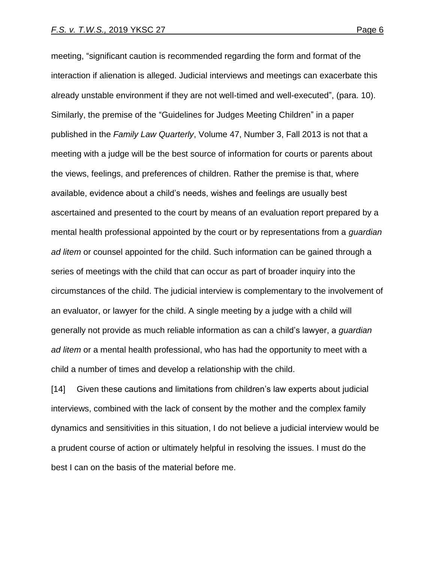meeting, "significant caution is recommended regarding the form and format of the interaction if alienation is alleged. Judicial interviews and meetings can exacerbate this already unstable environment if they are not well-timed and well-executed", (para. 10). Similarly, the premise of the "Guidelines for Judges Meeting Children" in a paper published in the *Family Law Quarterly*, Volume 47, Number 3, Fall 2013 is not that a meeting with a judge will be the best source of information for courts or parents about the views, feelings, and preferences of children. Rather the premise is that, where available, evidence about a child's needs, wishes and feelings are usually best ascertained and presented to the court by means of an evaluation report prepared by a mental health professional appointed by the court or by representations from a *guardian ad litem* or counsel appointed for the child. Such information can be gained through a series of meetings with the child that can occur as part of broader inquiry into the circumstances of the child. The judicial interview is complementary to the involvement of an evaluator, or lawyer for the child. A single meeting by a judge with a child will generally not provide as much reliable information as can a child's lawyer, a *guardian ad litem* or a mental health professional, who has had the opportunity to meet with a child a number of times and develop a relationship with the child.

[14] Given these cautions and limitations from children's law experts about judicial interviews, combined with the lack of consent by the mother and the complex family dynamics and sensitivities in this situation, I do not believe a judicial interview would be a prudent course of action or ultimately helpful in resolving the issues. I must do the best I can on the basis of the material before me.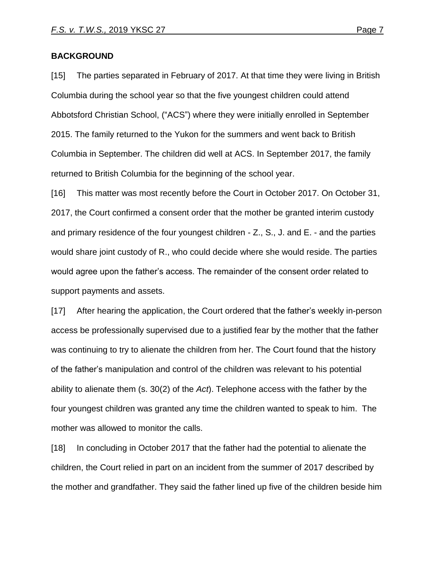### **BACKGROUND**

[15] The parties separated in February of 2017. At that time they were living in British Columbia during the school year so that the five youngest children could attend Abbotsford Christian School, ("ACS") where they were initially enrolled in September 2015. The family returned to the Yukon for the summers and went back to British Columbia in September. The children did well at ACS. In September 2017, the family returned to British Columbia for the beginning of the school year.

[16] This matter was most recently before the Court in October 2017. On October 31, 2017, the Court confirmed a consent order that the mother be granted interim custody and primary residence of the four youngest children - Z., S., J. and E. - and the parties would share joint custody of R., who could decide where she would reside. The parties would agree upon the father's access. The remainder of the consent order related to support payments and assets.

[17] After hearing the application, the Court ordered that the father's weekly in-person access be professionally supervised due to a justified fear by the mother that the father was continuing to try to alienate the children from her. The Court found that the history of the father's manipulation and control of the children was relevant to his potential ability to alienate them (s. 30(2) of the *Act*). Telephone access with the father by the four youngest children was granted any time the children wanted to speak to him. The mother was allowed to monitor the calls.

[18] In concluding in October 2017 that the father had the potential to alienate the children, the Court relied in part on an incident from the summer of 2017 described by the mother and grandfather. They said the father lined up five of the children beside him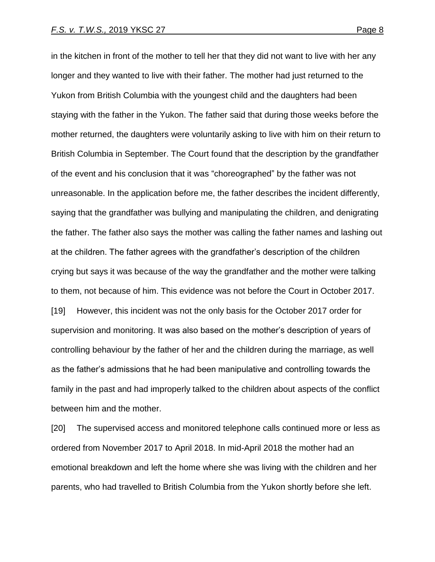in the kitchen in front of the mother to tell her that they did not want to live with her any longer and they wanted to live with their father. The mother had just returned to the Yukon from British Columbia with the youngest child and the daughters had been staying with the father in the Yukon. The father said that during those weeks before the mother returned, the daughters were voluntarily asking to live with him on their return to British Columbia in September. The Court found that the description by the grandfather of the event and his conclusion that it was "choreographed" by the father was not unreasonable. In the application before me, the father describes the incident differently, saying that the grandfather was bullying and manipulating the children, and denigrating the father. The father also says the mother was calling the father names and lashing out at the children. The father agrees with the grandfather's description of the children crying but says it was because of the way the grandfather and the mother were talking to them, not because of him. This evidence was not before the Court in October 2017. [19] However, this incident was not the only basis for the October 2017 order for supervision and monitoring. It was also based on the mother's description of years of controlling behaviour by the father of her and the children during the marriage, as well as the father's admissions that he had been manipulative and controlling towards the family in the past and had improperly talked to the children about aspects of the conflict between him and the mother.

[20] The supervised access and monitored telephone calls continued more or less as ordered from November 2017 to April 2018. In mid-April 2018 the mother had an emotional breakdown and left the home where she was living with the children and her parents, who had travelled to British Columbia from the Yukon shortly before she left.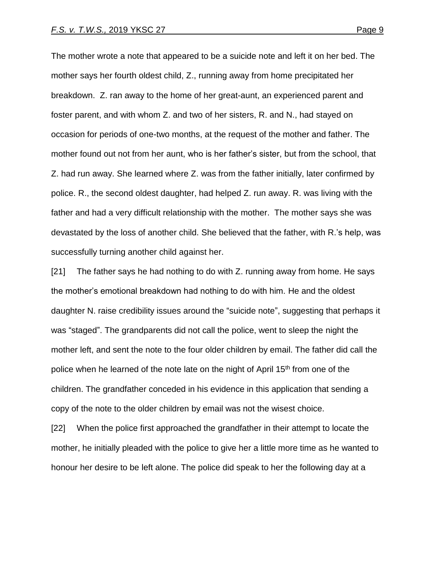The mother wrote a note that appeared to be a suicide note and left it on her bed. The mother says her fourth oldest child, Z., running away from home precipitated her breakdown. Z. ran away to the home of her great-aunt, an experienced parent and foster parent, and with whom Z. and two of her sisters, R. and N., had stayed on occasion for periods of one-two months, at the request of the mother and father. The mother found out not from her aunt, who is her father's sister, but from the school, that Z. had run away. She learned where Z. was from the father initially, later confirmed by police. R., the second oldest daughter, had helped Z. run away. R. was living with the father and had a very difficult relationship with the mother. The mother says she was devastated by the loss of another child. She believed that the father, with R.'s help, was successfully turning another child against her.

[21] The father says he had nothing to do with Z. running away from home. He says the mother's emotional breakdown had nothing to do with him. He and the oldest daughter N. raise credibility issues around the "suicide note", suggesting that perhaps it was "staged". The grandparents did not call the police, went to sleep the night the mother left, and sent the note to the four older children by email. The father did call the police when he learned of the note late on the night of April 15<sup>th</sup> from one of the children. The grandfather conceded in his evidence in this application that sending a copy of the note to the older children by email was not the wisest choice.

[22] When the police first approached the grandfather in their attempt to locate the mother, he initially pleaded with the police to give her a little more time as he wanted to honour her desire to be left alone. The police did speak to her the following day at a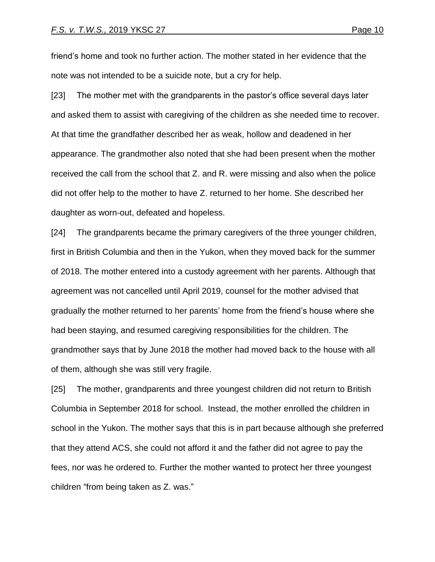friend's home and took no further action. The mother stated in her evidence that the note was not intended to be a suicide note, but a cry for help.

[23] The mother met with the grandparents in the pastor's office several days later and asked them to assist with caregiving of the children as she needed time to recover. At that time the grandfather described her as weak, hollow and deadened in her appearance. The grandmother also noted that she had been present when the mother received the call from the school that Z. and R. were missing and also when the police did not offer help to the mother to have Z. returned to her home. She described her daughter as worn-out, defeated and hopeless.

[24] The grandparents became the primary caregivers of the three younger children, first in British Columbia and then in the Yukon, when they moved back for the summer of 2018. The mother entered into a custody agreement with her parents. Although that agreement was not cancelled until April 2019, counsel for the mother advised that gradually the mother returned to her parents' home from the friend's house where she had been staying, and resumed caregiving responsibilities for the children. The grandmother says that by June 2018 the mother had moved back to the house with all of them, although she was still very fragile.

[25] The mother, grandparents and three youngest children did not return to British Columbia in September 2018 for school. Instead, the mother enrolled the children in school in the Yukon. The mother says that this is in part because although she preferred that they attend ACS, she could not afford it and the father did not agree to pay the fees, nor was he ordered to. Further the mother wanted to protect her three youngest children "from being taken as Z. was."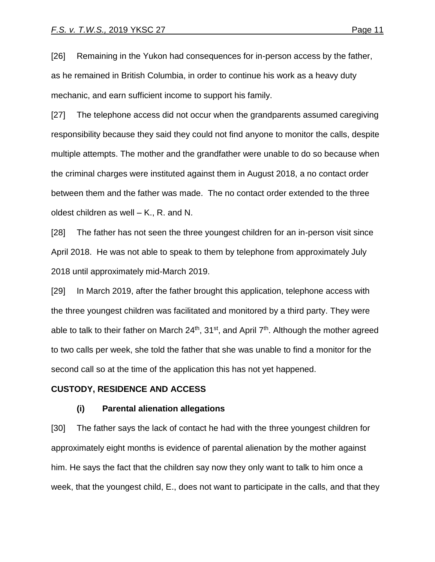[26] Remaining in the Yukon had consequences for in-person access by the father, as he remained in British Columbia, in order to continue his work as a heavy duty mechanic, and earn sufficient income to support his family.

[27] The telephone access did not occur when the grandparents assumed caregiving responsibility because they said they could not find anyone to monitor the calls, despite multiple attempts. The mother and the grandfather were unable to do so because when the criminal charges were instituted against them in August 2018, a no contact order between them and the father was made. The no contact order extended to the three oldest children as well – K., R. and N.

[28] The father has not seen the three youngest children for an in-person visit since April 2018. He was not able to speak to them by telephone from approximately July 2018 until approximately mid-March 2019.

[29] In March 2019, after the father brought this application, telephone access with the three youngest children was facilitated and monitored by a third party. They were able to talk to their father on March 24<sup>th</sup>, 31<sup>st</sup>, and April 7<sup>th</sup>. Although the mother agreed to two calls per week, she told the father that she was unable to find a monitor for the second call so at the time of the application this has not yet happened.

#### **CUSTODY, RESIDENCE AND ACCESS**

#### **(i) Parental alienation allegations**

[30] The father says the lack of contact he had with the three youngest children for approximately eight months is evidence of parental alienation by the mother against him. He says the fact that the children say now they only want to talk to him once a week, that the youngest child, E., does not want to participate in the calls, and that they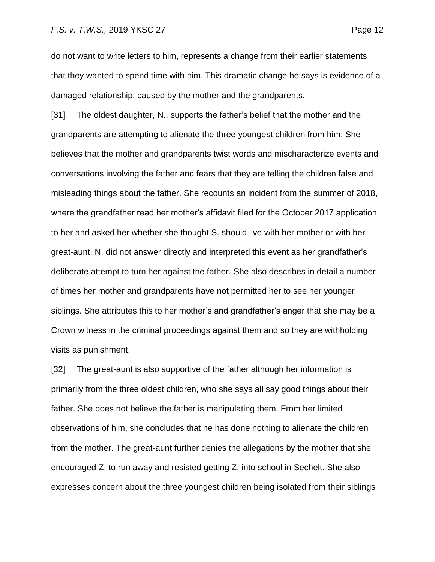do not want to write letters to him, represents a change from their earlier statements that they wanted to spend time with him. This dramatic change he says is evidence of a damaged relationship, caused by the mother and the grandparents.

[31] The oldest daughter, N., supports the father's belief that the mother and the grandparents are attempting to alienate the three youngest children from him. She believes that the mother and grandparents twist words and mischaracterize events and conversations involving the father and fears that they are telling the children false and misleading things about the father. She recounts an incident from the summer of 2018, where the grandfather read her mother's affidavit filed for the October 2017 application to her and asked her whether she thought S. should live with her mother or with her great-aunt. N. did not answer directly and interpreted this event as her grandfather's deliberate attempt to turn her against the father. She also describes in detail a number of times her mother and grandparents have not permitted her to see her younger siblings. She attributes this to her mother's and grandfather's anger that she may be a Crown witness in the criminal proceedings against them and so they are withholding visits as punishment.

[32] The great-aunt is also supportive of the father although her information is primarily from the three oldest children, who she says all say good things about their father. She does not believe the father is manipulating them. From her limited observations of him, she concludes that he has done nothing to alienate the children from the mother. The great-aunt further denies the allegations by the mother that she encouraged Z. to run away and resisted getting Z. into school in Sechelt. She also expresses concern about the three youngest children being isolated from their siblings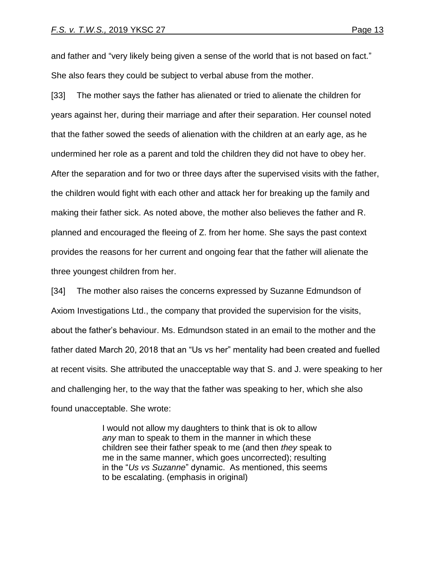and father and "very likely being given a sense of the world that is not based on fact." She also fears they could be subject to verbal abuse from the mother.

[33] The mother says the father has alienated or tried to alienate the children for years against her, during their marriage and after their separation. Her counsel noted that the father sowed the seeds of alienation with the children at an early age, as he undermined her role as a parent and told the children they did not have to obey her. After the separation and for two or three days after the supervised visits with the father, the children would fight with each other and attack her for breaking up the family and making their father sick. As noted above, the mother also believes the father and R. planned and encouraged the fleeing of Z. from her home. She says the past context provides the reasons for her current and ongoing fear that the father will alienate the three youngest children from her.

[34] The mother also raises the concerns expressed by Suzanne Edmundson of Axiom Investigations Ltd., the company that provided the supervision for the visits, about the father's behaviour. Ms. Edmundson stated in an email to the mother and the father dated March 20, 2018 that an "Us vs her" mentality had been created and fuelled at recent visits. She attributed the unacceptable way that S. and J. were speaking to her and challenging her, to the way that the father was speaking to her, which she also found unacceptable. She wrote:

> I would not allow my daughters to think that is ok to allow *any* man to speak to them in the manner in which these children see their father speak to me (and then *they* speak to me in the same manner, which goes uncorrected); resulting in the "*Us vs Suzanne*" dynamic. As mentioned, this seems to be escalating. (emphasis in original)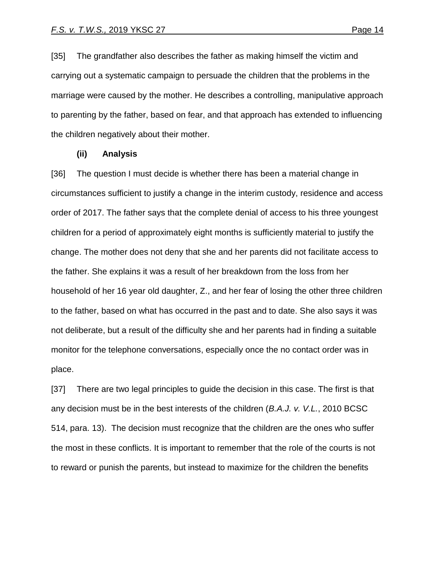[35] The grandfather also describes the father as making himself the victim and carrying out a systematic campaign to persuade the children that the problems in the marriage were caused by the mother. He describes a controlling, manipulative approach to parenting by the father, based on fear, and that approach has extended to influencing the children negatively about their mother.

#### **(ii) Analysis**

[36] The question I must decide is whether there has been a material change in circumstances sufficient to justify a change in the interim custody, residence and access order of 2017. The father says that the complete denial of access to his three youngest children for a period of approximately eight months is sufficiently material to justify the change. The mother does not deny that she and her parents did not facilitate access to the father. She explains it was a result of her breakdown from the loss from her household of her 16 year old daughter, Z., and her fear of losing the other three children to the father, based on what has occurred in the past and to date. She also says it was not deliberate, but a result of the difficulty she and her parents had in finding a suitable monitor for the telephone conversations, especially once the no contact order was in place.

[37] There are two legal principles to guide the decision in this case. The first is that any decision must be in the best interests of the children (*B.A.J. v. V.L.*, 2010 BCSC 514, para. 13). The decision must recognize that the children are the ones who suffer the most in these conflicts. It is important to remember that the role of the courts is not to reward or punish the parents, but instead to maximize for the children the benefits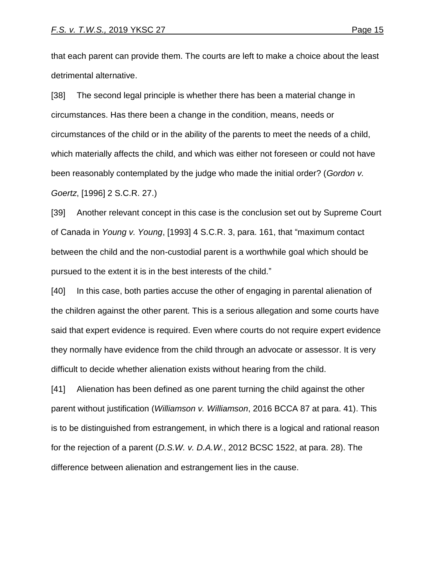that each parent can provide them. The courts are left to make a choice about the least detrimental alternative.

[38] The second legal principle is whether there has been a material change in circumstances. Has there been a change in the condition, means, needs or circumstances of the child or in the ability of the parents to meet the needs of a child, which materially affects the child, and which was either not foreseen or could not have been reasonably contemplated by the judge who made the initial order? (*Gordon v. Goertz*, [1996] 2 S.C.R. 27.)

[39] Another relevant concept in this case is the conclusion set out by Supreme Court of Canada in *Young v. Young*, [1993] 4 S.C.R. 3, para. 161, that "maximum contact between the child and the non-custodial parent is a worthwhile goal which should be pursued to the extent it is in the best interests of the child."

[40] In this case, both parties accuse the other of engaging in parental alienation of the children against the other parent. This is a serious allegation and some courts have said that expert evidence is required. Even where courts do not require expert evidence they normally have evidence from the child through an advocate or assessor. It is very difficult to decide whether alienation exists without hearing from the child.

[41] Alienation has been defined as one parent turning the child against the other parent without justification (*Williamson v. Williamson*, 2016 BCCA 87 at para. 41). This is to be distinguished from estrangement, in which there is a logical and rational reason for the rejection of a parent (*D.S.W. v. D.A.W.*, 2012 BCSC 1522, at para. 28). The difference between alienation and estrangement lies in the cause.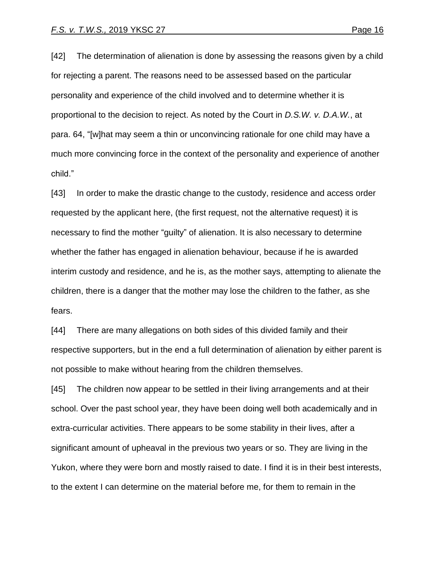[42] The determination of alienation is done by assessing the reasons given by a child for rejecting a parent. The reasons need to be assessed based on the particular personality and experience of the child involved and to determine whether it is proportional to the decision to reject. As noted by the Court in *D.S.W. v. D.A.W.*, at para. 64, "[w]hat may seem a thin or unconvincing rationale for one child may have a much more convincing force in the context of the personality and experience of another child."

[43] In order to make the drastic change to the custody, residence and access order requested by the applicant here, (the first request, not the alternative request) it is necessary to find the mother "guilty" of alienation. It is also necessary to determine whether the father has engaged in alienation behaviour, because if he is awarded interim custody and residence, and he is, as the mother says, attempting to alienate the children, there is a danger that the mother may lose the children to the father, as she fears.

[44] There are many allegations on both sides of this divided family and their respective supporters, but in the end a full determination of alienation by either parent is not possible to make without hearing from the children themselves.

[45] The children now appear to be settled in their living arrangements and at their school. Over the past school year, they have been doing well both academically and in extra-curricular activities. There appears to be some stability in their lives, after a significant amount of upheaval in the previous two years or so. They are living in the Yukon, where they were born and mostly raised to date. I find it is in their best interests, to the extent I can determine on the material before me, for them to remain in the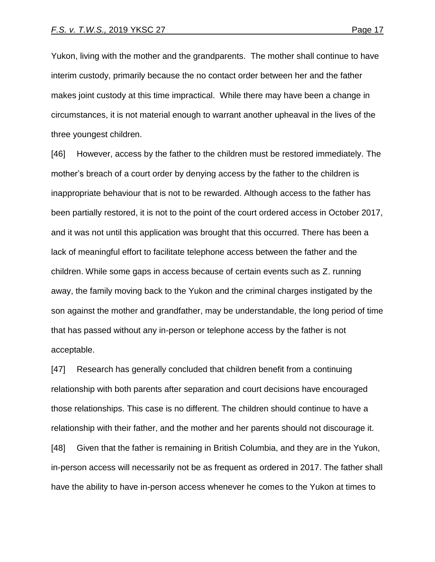Yukon, living with the mother and the grandparents. The mother shall continue to have interim custody, primarily because the no contact order between her and the father makes joint custody at this time impractical. While there may have been a change in circumstances, it is not material enough to warrant another upheaval in the lives of the three youngest children.

[46] However, access by the father to the children must be restored immediately. The mother's breach of a court order by denying access by the father to the children is inappropriate behaviour that is not to be rewarded. Although access to the father has been partially restored, it is not to the point of the court ordered access in October 2017, and it was not until this application was brought that this occurred. There has been a lack of meaningful effort to facilitate telephone access between the father and the children. While some gaps in access because of certain events such as Z. running away, the family moving back to the Yukon and the criminal charges instigated by the son against the mother and grandfather, may be understandable, the long period of time that has passed without any in-person or telephone access by the father is not acceptable.

[47] Research has generally concluded that children benefit from a continuing relationship with both parents after separation and court decisions have encouraged those relationships. This case is no different. The children should continue to have a relationship with their father, and the mother and her parents should not discourage it.

[48] Given that the father is remaining in British Columbia, and they are in the Yukon, in-person access will necessarily not be as frequent as ordered in 2017. The father shall have the ability to have in-person access whenever he comes to the Yukon at times to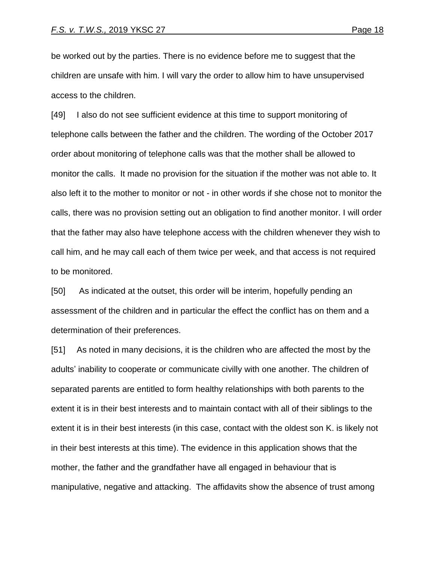be worked out by the parties. There is no evidence before me to suggest that the children are unsafe with him. I will vary the order to allow him to have unsupervised access to the children.

[49] I also do not see sufficient evidence at this time to support monitoring of telephone calls between the father and the children. The wording of the October 2017 order about monitoring of telephone calls was that the mother shall be allowed to monitor the calls. It made no provision for the situation if the mother was not able to. It also left it to the mother to monitor or not - in other words if she chose not to monitor the calls, there was no provision setting out an obligation to find another monitor. I will order that the father may also have telephone access with the children whenever they wish to call him, and he may call each of them twice per week, and that access is not required to be monitored.

[50] As indicated at the outset, this order will be interim, hopefully pending an assessment of the children and in particular the effect the conflict has on them and a determination of their preferences.

[51] As noted in many decisions, it is the children who are affected the most by the adults' inability to cooperate or communicate civilly with one another. The children of separated parents are entitled to form healthy relationships with both parents to the extent it is in their best interests and to maintain contact with all of their siblings to the extent it is in their best interests (in this case, contact with the oldest son K. is likely not in their best interests at this time). The evidence in this application shows that the mother, the father and the grandfather have all engaged in behaviour that is manipulative, negative and attacking. The affidavits show the absence of trust among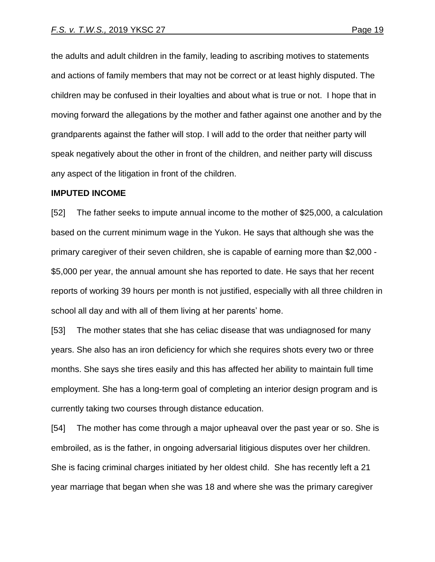the adults and adult children in the family, leading to ascribing motives to statements and actions of family members that may not be correct or at least highly disputed. The children may be confused in their loyalties and about what is true or not. I hope that in moving forward the allegations by the mother and father against one another and by the grandparents against the father will stop. I will add to the order that neither party will speak negatively about the other in front of the children, and neither party will discuss any aspect of the litigation in front of the children.

#### **IMPUTED INCOME**

[52] The father seeks to impute annual income to the mother of \$25,000, a calculation based on the current minimum wage in the Yukon. He says that although she was the primary caregiver of their seven children, she is capable of earning more than \$2,000 - \$5,000 per year, the annual amount she has reported to date. He says that her recent reports of working 39 hours per month is not justified, especially with all three children in school all day and with all of them living at her parents' home.

[53] The mother states that she has celiac disease that was undiagnosed for many years. She also has an iron deficiency for which she requires shots every two or three months. She says she tires easily and this has affected her ability to maintain full time employment. She has a long-term goal of completing an interior design program and is currently taking two courses through distance education.

[54] The mother has come through a major upheaval over the past year or so. She is embroiled, as is the father, in ongoing adversarial litigious disputes over her children. She is facing criminal charges initiated by her oldest child. She has recently left a 21 year marriage that began when she was 18 and where she was the primary caregiver